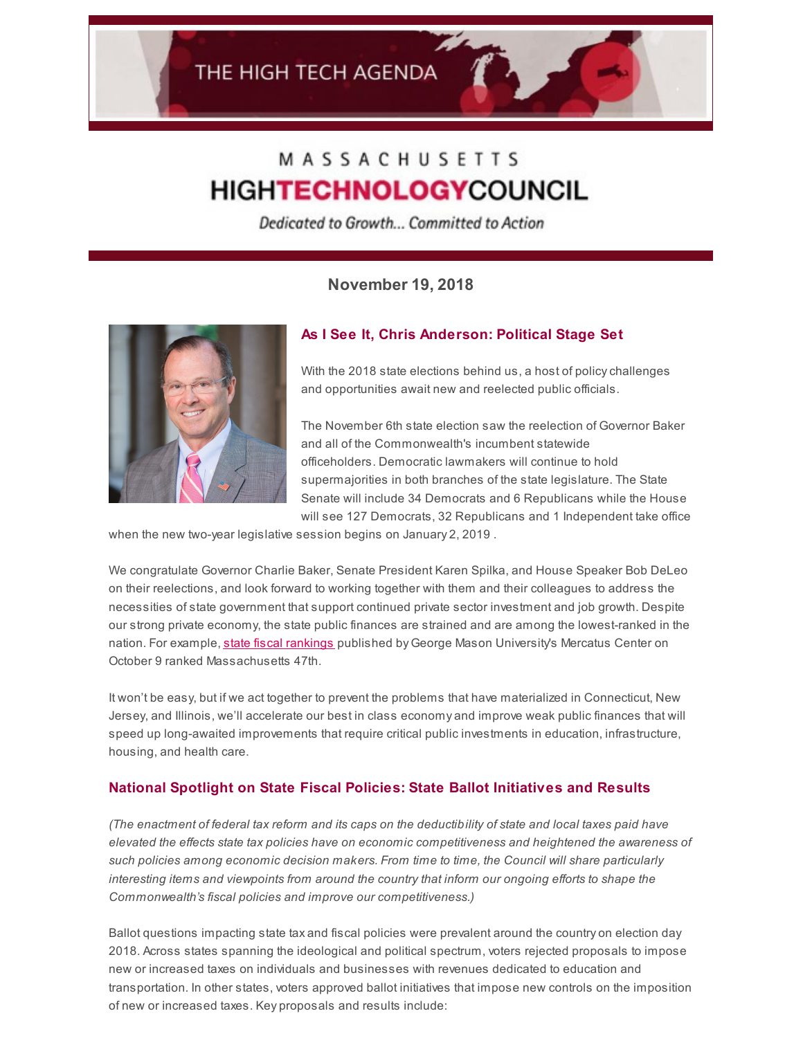# MASSACHUSETTS **HIGHTECHNOLOGYCOUNCIL**

Dedicated to Growth... Committed to Action

**November 19, 2018**



# **As I See It, Chris Anderson: Political Stage Set**

With the 2018 state elections behind us, a host of policy challenges and opportunities await new and reelected public officials.

The November 6th state election saw the reelection of Governor Baker and all of the Commonwealth's incumbent statewide officeholders. Democratic lawmakers will continue to hold supermajorities in both branches of the state legislature. The State Senate will include 34 Democrats and 6 Republicans while the House will see 127 Democrats, 32 Republicans and 1 Independent take office

when the new two-year legislative session begins on January 2, 2019 .

We congratulate Governor Charlie Baker, Senate President Karen Spilka, and House Speaker Bob DeLeo on their reelections, and look forward to working together with them and their colleagues to address the necessities of state government that support continued private sector investment and job growth. Despite our strong private economy, the state public finances are strained and are among the lowest-ranked in the nation. For example, state fiscal [rankings](https://www.mercatus.org/statefiscalrankings) published by George Mason University's Mercatus Center on October 9 ranked Massachusetts 47th.

It won't be easy, but if we act together to prevent the problems that have materialized in Connecticut, New Jersey, and Illinois, we'll accelerate our best in class economy and improve weak public finances that will speed up long-awaited improvements that require critical public investments in education, infrastructure, housing, and health care.

#### **National Spotlight on State Fiscal Policies: State Ballot Initiatives and Results**

(The enactment of federal tax reform and its caps on the deductibility of state and local taxes paid have *elevated the effects state tax policies have on economic competitiveness and heightened the awareness of such policies among economic decision makers. From time to time, the Council will share particularly interesting items and viewpoints from around the country that inform our ongoing efforts to shape the Commonwealth's fiscal policies and improve our competitiveness.)*

Ballot questions impacting state tax and fiscal policies were prevalent around the country on election day 2018. Across states spanning the ideological and political spectrum, voters rejected proposals to impose new or increased taxes on individuals and businesses with revenues dedicated to education and transportation. In other states, voters approved ballot initiatives that impose new controls on the imposition of new or increased taxes. Key proposals and results include: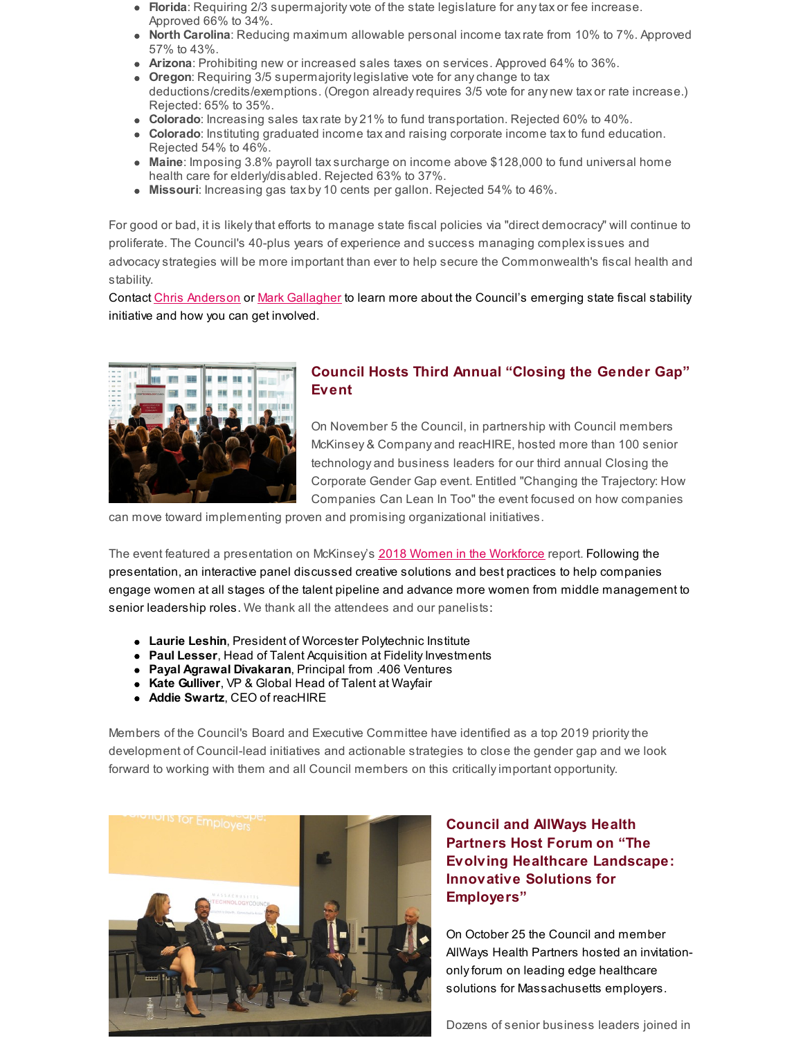- **Florida**: Requiring 2/3 supermajorityvote of the state legislature for anytax or fee increase. Approved 66% to 34%.
- **North Carolina**: Reducing maximum allowable personal income taxrate from 10% to 7%. Approved 57% to 43%.
- **Arizona**: Prohibiting new or increased sales taxes on services. Approved 64% to 36%.
- **Oregon**: Requiring 3/5 supermajoritylegislative vote for anychange to tax deductions/credits/exemptions. (Oregon alreadyrequires 3/5 vote for any new tax or rate increase.) Rejected: 65% to 35%.
- **Colorado**: Increasing sales taxrate by 21% to fund transportation. Rejected 60% to 40%.
- **Colorado**: Instituting graduated income tax and raising corporate income taxto fund education. Rejected 54% to 46%.
- **Maine**: Imposing 3.8% payroll taxsurcharge on income above \$128,000 to fund universal home health care for elderly/disabled. Rejected 63% to 37%.
- **Missouri**: Increasing gas tax by 10 cents per gallon. Rejected 54% to 46%.

For good or bad, it is likelythat efforts to manage state fiscal policies via "direct democracy" will continue to proliferate. The Council's 40-plus years of experience and success managing complexissues and advocacystrategies will be more important than ever to help secure the Commonwealth's fiscal health and stability.

Contact Chris [Anderson](mailto:chris@mhtc.org) or Mark [Gallagher](mailto:mark@mhtc.org) to learn more about the Council's emerging state fiscal stability initiative and how you can get involved.



## **Council Hosts Third Annual "Closing the Gender Gap" Event**

On November 5 the Council, in partnership with Council members McKinsey & Company and reacHIRE, hosted more than 100 senior technology and business leaders for our third annual Closing the Corporate Gender Gap event. Entitled "Changing the Trajectory: How Companies Can Lean In Too" the event focused on how companies

can move toward implementing proven and promising organizational initiatives.

The event featured a presentation on McKinsey's 2018 Women in the [Workforce](https://www.mckinsey.com/featured-insights/gender-equality/women-in-the-workplace-2018) report. Following the presentation, an interactive panel discussed creative solutions and best practices to help companies engage women at all stages of the talent pipeline and advance more women from middle management to senior leadership roles. We thank all the attendees and our panelists:

- **Laurie Leshin**, President of Worcester Polytechnic Institute
- **Paul Lesser**, Head of Talent Acquisition at Fidelity Investments
- **Payal Agrawal Divakaran**, Principal from .406 Ventures
- **Kate Gulliver**, VP & Global Head of Talent at Wayfair
- **Addie Swartz**, CEO of reacHIRE

Members of the Council's Board and Executive Committee have identified as a top 2019 prioritythe development of Council-lead initiatives and actionable strategies to close the gender gap and we look forward to working with them and all Council members on this criticallyimportant opportunity.



## **Council and AllWays Health Partners Host Forum on "The Evolving Healthcare Landscape: Innovative Solutions for Employers"**

On October 25 the Council and member AllWays Health Partners hosted an invitationonly forum on leading edge healthcare solutions for Massachusetts employers.

Dozens of senior business leaders joined in